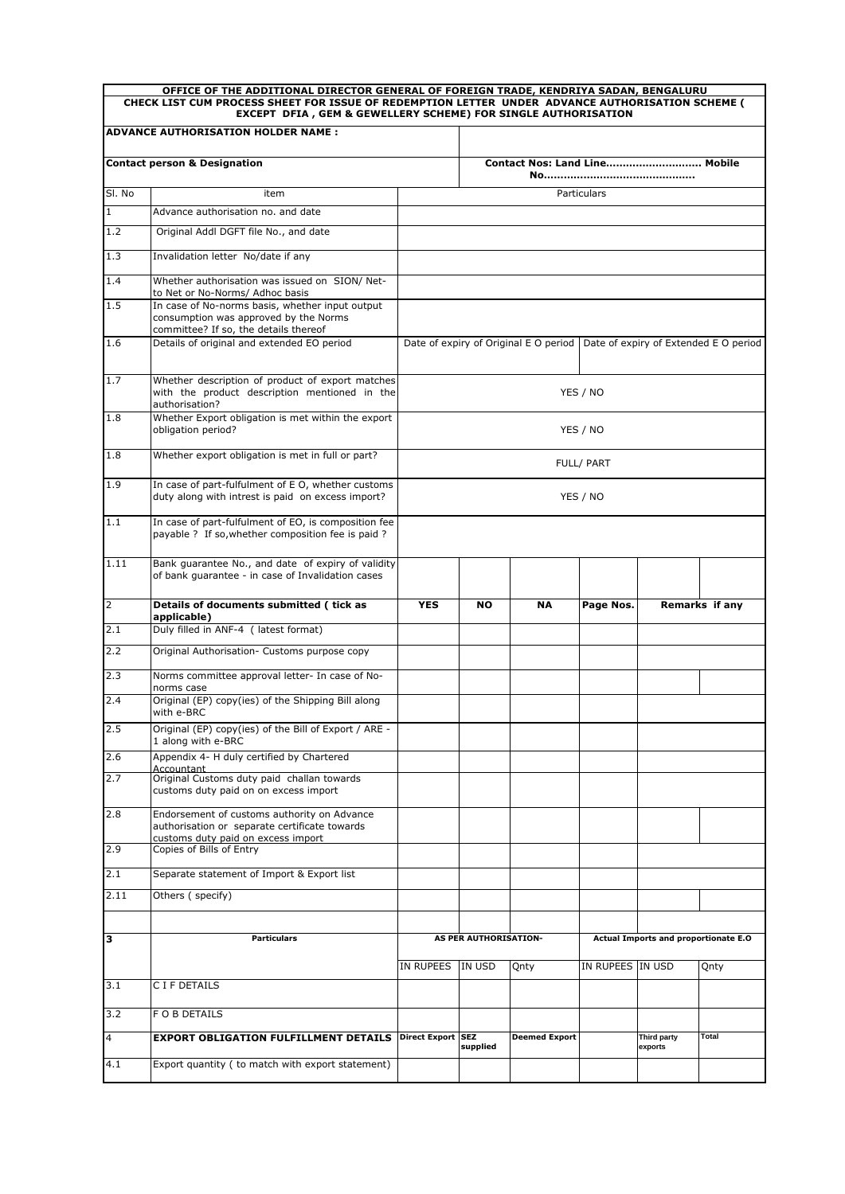| OFFICE OF THE ADDITIONAL DIRECTOR GENERAL OF FOREIGN TRADE, KENDRIYA SADAN, BENGALURU<br>CHECK LIST CUM PROCESS SHEET FOR ISSUE OF REDEMPTION LETTER UNDER ADVANCE AUTHORISATION SCHEME ( |                                                                                                                                    |                                                                               |                                                               |                      |                  |                        |                |  |  |  |  |
|-------------------------------------------------------------------------------------------------------------------------------------------------------------------------------------------|------------------------------------------------------------------------------------------------------------------------------------|-------------------------------------------------------------------------------|---------------------------------------------------------------|----------------------|------------------|------------------------|----------------|--|--|--|--|
| EXCEPT DFIA, GEM & GEWELLERY SCHEME) FOR SINGLE AUTHORISATION<br><b>ADVANCE AUTHORISATION HOLDER NAME:</b>                                                                                |                                                                                                                                    |                                                                               |                                                               |                      |                  |                        |                |  |  |  |  |
|                                                                                                                                                                                           |                                                                                                                                    |                                                                               |                                                               |                      |                  |                        |                |  |  |  |  |
|                                                                                                                                                                                           | <b>Contact person &amp; Designation</b>                                                                                            | Contact Nos: Land Line Mobile                                                 |                                                               |                      |                  |                        |                |  |  |  |  |
| SI. No                                                                                                                                                                                    | item                                                                                                                               |                                                                               |                                                               |                      | Particulars      |                        |                |  |  |  |  |
| $\overline{1}$                                                                                                                                                                            | Advance authorisation no. and date                                                                                                 |                                                                               |                                                               |                      |                  |                        |                |  |  |  |  |
| 1.2                                                                                                                                                                                       | Original Addl DGFT file No., and date                                                                                              |                                                                               |                                                               |                      |                  |                        |                |  |  |  |  |
| 1.3                                                                                                                                                                                       | Invalidation letter No/date if any                                                                                                 |                                                                               |                                                               |                      |                  |                        |                |  |  |  |  |
| 1.4                                                                                                                                                                                       | Whether authorisation was issued on SION/ Net-<br>to Net or No-Norms/ Adhoc basis                                                  |                                                                               |                                                               |                      |                  |                        |                |  |  |  |  |
| 1.5                                                                                                                                                                                       | In case of No-norms basis, whether input output<br>consumption was approved by the Norms<br>committee? If so, the details thereof  |                                                                               |                                                               |                      |                  |                        |                |  |  |  |  |
| 1.6                                                                                                                                                                                       | Details of original and extended EO period                                                                                         | Date of expiry of Original E O period   Date of expiry of Extended E O period |                                                               |                      |                  |                        |                |  |  |  |  |
| 1.7                                                                                                                                                                                       | Whether description of product of export matches<br>with the product description mentioned in the<br>authorisation?                | YES / NO                                                                      |                                                               |                      |                  |                        |                |  |  |  |  |
| 1.8                                                                                                                                                                                       | Whether Export obligation is met within the export<br>obligation period?                                                           | YES / NO                                                                      |                                                               |                      |                  |                        |                |  |  |  |  |
| 1.8                                                                                                                                                                                       | Whether export obligation is met in full or part?                                                                                  | FULL/ PART                                                                    |                                                               |                      |                  |                        |                |  |  |  |  |
| 1.9                                                                                                                                                                                       | In case of part-fulfulment of E O, whether customs<br>duty along with intrest is paid on excess import?                            | YES / NO                                                                      |                                                               |                      |                  |                        |                |  |  |  |  |
| 1.1                                                                                                                                                                                       | In case of part-fulfulment of EO, is composition fee<br>payable ? If so, whether composition fee is paid ?                         |                                                                               |                                                               |                      |                  |                        |                |  |  |  |  |
| 1.11                                                                                                                                                                                      | Bank guarantee No., and date of expiry of validity<br>of bank guarantee - in case of Invalidation cases                            |                                                                               |                                                               |                      |                  |                        |                |  |  |  |  |
| $\overline{2}$                                                                                                                                                                            | Details of documents submitted ( tick as<br>applicable)                                                                            | <b>YES</b>                                                                    | <b>NO</b>                                                     | <b>NA</b>            | Page Nos.        |                        | Remarks if any |  |  |  |  |
| 2.1                                                                                                                                                                                       | Duly filled in ANF-4 ( latest format)                                                                                              |                                                                               |                                                               |                      |                  |                        |                |  |  |  |  |
| 2.2                                                                                                                                                                                       | Original Authorisation- Customs purpose copy                                                                                       |                                                                               |                                                               |                      |                  |                        |                |  |  |  |  |
| 2.3                                                                                                                                                                                       | Norms committee approval letter- In case of No-<br>norms case                                                                      |                                                                               |                                                               |                      |                  |                        |                |  |  |  |  |
| 2.4                                                                                                                                                                                       | Original (EP) copy(ies) of the Shipping Bill along<br>with e-BRC                                                                   |                                                                               |                                                               |                      |                  |                        |                |  |  |  |  |
| 2.5                                                                                                                                                                                       | Original (EP) copy(ies) of the Bill of Export / ARE -<br>1 along with e-BRC                                                        |                                                                               |                                                               |                      |                  |                        |                |  |  |  |  |
| 2.6                                                                                                                                                                                       | Appendix 4- H duly certified by Chartered<br>Accountant                                                                            |                                                                               |                                                               |                      |                  |                        |                |  |  |  |  |
| 2.7                                                                                                                                                                                       | Original Customs duty paid challan towards<br>customs duty paid on on excess import                                                |                                                                               |                                                               |                      |                  |                        |                |  |  |  |  |
| 2.8                                                                                                                                                                                       | Endorsement of customs authority on Advance<br>authorisation or separate certificate towards<br>customs duty paid on excess import |                                                                               |                                                               |                      |                  |                        |                |  |  |  |  |
| 2.9                                                                                                                                                                                       | Copies of Bills of Entry                                                                                                           |                                                                               |                                                               |                      |                  |                        |                |  |  |  |  |
| 2.1                                                                                                                                                                                       | Separate statement of Import & Export list                                                                                         |                                                                               |                                                               |                      |                  |                        |                |  |  |  |  |
| 2.11                                                                                                                                                                                      | Others (specify)                                                                                                                   |                                                                               |                                                               |                      |                  |                        |                |  |  |  |  |
|                                                                                                                                                                                           |                                                                                                                                    |                                                                               |                                                               |                      |                  |                        |                |  |  |  |  |
| з                                                                                                                                                                                         | <b>Particulars</b>                                                                                                                 |                                                                               | AS PER AUTHORISATION-<br>Actual Imports and proportionate E.O |                      |                  |                        |                |  |  |  |  |
| 3.1                                                                                                                                                                                       | C I F DETAILS                                                                                                                      | IN RUPEES                                                                     | IN USD                                                        | Qnty                 | IN RUPEES IN USD |                        | Qnty           |  |  |  |  |
|                                                                                                                                                                                           |                                                                                                                                    |                                                                               |                                                               |                      |                  |                        |                |  |  |  |  |
| 3.2                                                                                                                                                                                       | F O B DETAILS                                                                                                                      |                                                                               |                                                               |                      |                  |                        |                |  |  |  |  |
| 4                                                                                                                                                                                         | <b>EXPORT OBLIGATION FULFILLMENT DETAILS</b>                                                                                       | <b>Direct Export</b>                                                          | <b>SEZ</b><br>supplied                                        | <b>Deemed Export</b> |                  | Third party<br>exports | Total          |  |  |  |  |
| 4.1                                                                                                                                                                                       | Export quantity (to match with export statement)                                                                                   |                                                                               |                                                               |                      |                  |                        |                |  |  |  |  |